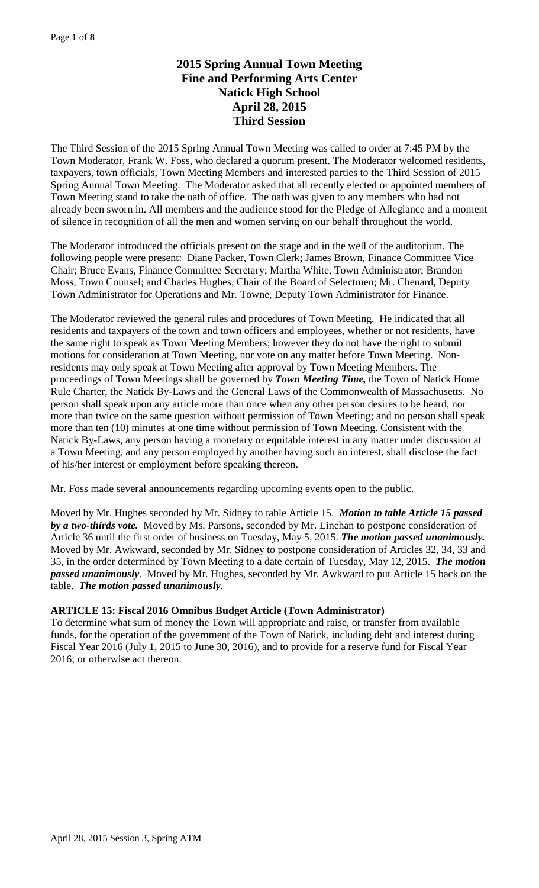# **2015 Spring Annual Town Meeting Fine and Performing Arts Center Natick High School April 28, 2015 Third Session**

The Third Session of the 2015 Spring Annual Town Meeting was called to order at 7:45 PM by the Town Moderator, Frank W. Foss, who declared a quorum present. The Moderator welcomed residents, taxpayers, town officials, Town Meeting Members and interested parties to the Third Session of 2015 Spring Annual Town Meeting. The Moderator asked that all recently elected or appointed members of Town Meeting stand to take the oath of office. The oath was given to any members who had not already been sworn in. All members and the audience stood for the Pledge of Allegiance and a moment of silence in recognition of all the men and women serving on our behalf throughout the world.

The Moderator introduced the officials present on the stage and in the well of the auditorium. The following people were present: Diane Packer, Town Clerk; James Brown, Finance Committee Vice Chair; Bruce Evans, Finance Committee Secretary; Martha White, Town Administrator; Brandon Moss, Town Counsel; and Charles Hughes, Chair of the Board of Selectmen; Mr. Chenard, Deputy Town Administrator for Operations and Mr. Towne, Deputy Town Administrator for Finance.

The Moderator reviewed the general rules and procedures of Town Meeting. He indicated that all residents and taxpayers of the town and town officers and employees, whether or not residents, have the same right to speak as Town Meeting Members; however they do not have the right to submit motions for consideration at Town Meeting, nor vote on any matter before Town Meeting. Nonresidents may only speak at Town Meeting after approval by Town Meeting Members. The proceedings of Town Meetings shall be governed by *Town Meeting Time,* the Town of Natick Home Rule Charter, the Natick By-Laws and the General Laws of the Commonwealth of Massachusetts. No person shall speak upon any article more than once when any other person desires to be heard, nor more than twice on the same question without permission of Town Meeting; and no person shall speak more than ten (10) minutes at one time without permission of Town Meeting. Consistent with the Natick By-Laws, any person having a monetary or equitable interest in any matter under discussion at a Town Meeting, and any person employed by another having such an interest, shall disclose the fact of his/her interest or employment before speaking thereon.

Mr. Foss made several announcements regarding upcoming events open to the public.

Moved by Mr. Hughes seconded by Mr. Sidney to table Article 15. *Motion to table Article 15 passed by a two-thirds vote.* Moved by Ms. Parsons, seconded by Mr. Linehan to postpone consideration of Article 36 until the first order of business on Tuesday, May 5, 2015. *The motion passed unanimously.* Moved by Mr. Awkward, seconded by Mr. Sidney to postpone consideration of Articles 32, 34, 33 and 35, in the order determined by Town Meeting to a date certain of Tuesday, May 12, 2015. *The motion passed unanimously*. Moved by Mr. Hughes, seconded by Mr. Awkward to put Article 15 back on the table. *The motion passed unanimously*.

# **ARTICLE 15: Fiscal 2016 Omnibus Budget Article (Town Administrator)**

To determine what sum of money the Town will appropriate and raise, or transfer from available funds, for the operation of the government of the Town of Natick, including debt and interest during Fiscal Year 2016 (July 1, 2015 to June 30, 2016), and to provide for a reserve fund for Fiscal Year 2016; or otherwise act thereon.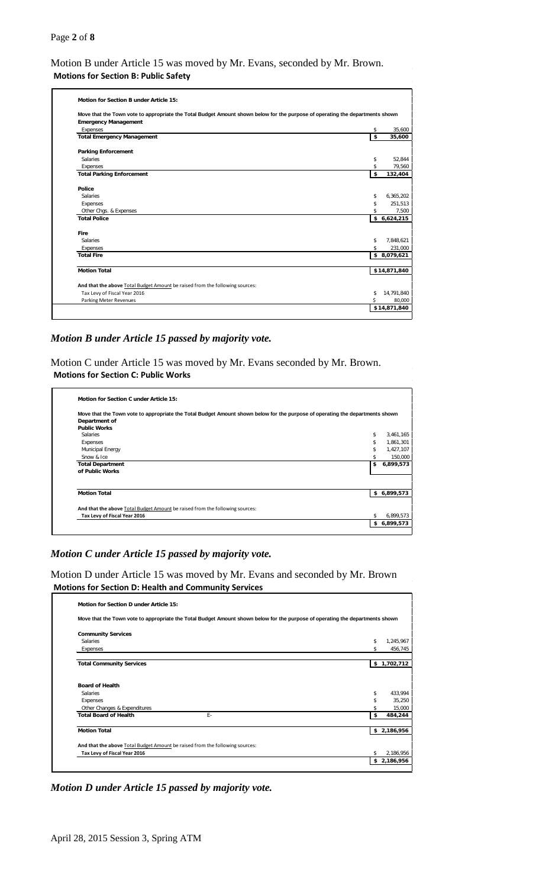#### Page **2** of **8**

Motion B under Article 15 was moved by Mr. Evans, seconded by Mr. Brown. **Motions for Section B: Public Safety**

| Move that the Town vote to appropriate the Total Budget Amount shown below for the purpose of operating the departments shown |    |              |
|-------------------------------------------------------------------------------------------------------------------------------|----|--------------|
| <b>Emergency Management</b>                                                                                                   |    |              |
| Expenses                                                                                                                      | \$ |              |
| <b>Total Emergency Management</b>                                                                                             | \$ | 35,600       |
| <b>Parking Enforcement</b>                                                                                                    |    |              |
| <b>Salaries</b>                                                                                                               | \$ |              |
| Expenses                                                                                                                      | \$ |              |
| <b>Total Parking Enforcement</b>                                                                                              | \$ | 132,404      |
| Police                                                                                                                        |    |              |
| <b>Salaries</b>                                                                                                               | \$ | 6,365,202    |
| Expenses                                                                                                                      | \$ | 251,513      |
| Other Chgs. & Expenses                                                                                                        | \$ |              |
| <b>Total Police</b>                                                                                                           |    | \$6,624,215  |
| <b>Fire</b>                                                                                                                   |    |              |
| Salaries                                                                                                                      | \$ | 7.848.621    |
| Expenses                                                                                                                      | \$ | 231,000      |
| <b>Total Fire</b>                                                                                                             |    | \$8,079,621  |
| <b>Motion Total</b>                                                                                                           |    | \$14,871,840 |
|                                                                                                                               |    |              |
| And that the above Total Budget Amount be raised from the following sources:                                                  |    |              |
| Tax Levy of Fiscal Year 2016                                                                                                  | \$ | 14,791,840   |
| Parking Meter Revenues                                                                                                        | Ś  |              |

*Motion B under Article 15 passed by majority vote.*

Motion C under Article 15 was moved by Mr. Evans seconded by Mr. Brown. **Motions for Section C: Public Works**

| Move that the Town vote to appropriate the Total Budget Amount shown below for the purpose of operating the departments shown |                 |
|-------------------------------------------------------------------------------------------------------------------------------|-----------------|
| Department of                                                                                                                 |                 |
| <b>Public Works</b>                                                                                                           |                 |
| <b>Salaries</b>                                                                                                               | \$<br>3.461.165 |
| Expenses                                                                                                                      | \$<br>1.861.301 |
| Municipal Energy                                                                                                              | \$<br>1,427,107 |
| Snow & Ice                                                                                                                    | \$<br>150,000   |
| <b>Total Department</b>                                                                                                       | \$<br>6,899,573 |
| of Public Works                                                                                                               |                 |
|                                                                                                                               |                 |
| <b>Motion Total</b>                                                                                                           | \$6,899,573     |
| And that the above Total Budget Amount be raised from the following sources:                                                  |                 |
| Tax Levy of Fiscal Year 2016                                                                                                  | \$<br>6,899,573 |
|                                                                                                                               | \$6,899,573     |

## *Motion C under Article 15 passed by majority vote.*

Motion D under Article 15 was moved by Mr. Evans and seconded by Mr. Brown **Motions for Section D: Health and Community Services**

| Move that the Town vote to appropriate the Total Budget Amount shown below for the purpose of operating the departments shown |             |           |
|-------------------------------------------------------------------------------------------------------------------------------|-------------|-----------|
| <b>Community Services</b>                                                                                                     |             |           |
| <b>Salaries</b>                                                                                                               | \$          | 1,245,967 |
| Expenses                                                                                                                      | \$          | 456.745   |
| <b>Total Community Services</b>                                                                                               | \$1,702,712 |           |
| <b>Board of Health</b><br><b>Salaries</b>                                                                                     | \$          | 433,994   |
| Expenses                                                                                                                      | \$          | 35,250    |
| Other Changes & Expenditures                                                                                                  |             | 15,000    |
| F-<br><b>Total Board of Health</b>                                                                                            | \$          | 484,244   |
| <b>Motion Total</b>                                                                                                           | \$2,186,956 |           |
|                                                                                                                               |             |           |
| And that the above Total Budget Amount be raised from the following sources:                                                  |             |           |
| Tax Levy of Fiscal Year 2016                                                                                                  | \$          | 2,186,956 |

*Motion D under Article 15 passed by majority vote.*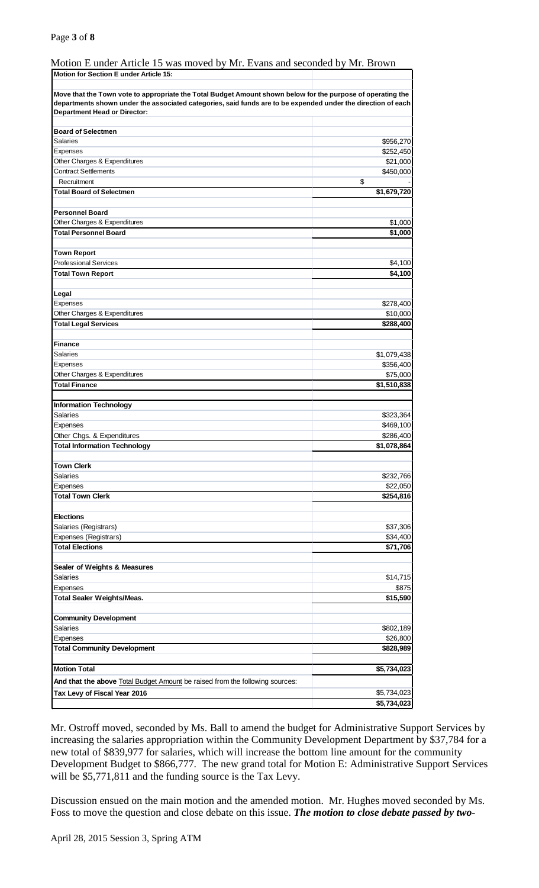## Motion E under Article 15 was moved by Mr. Evans and seconded by Mr. Brown

| <b>Motion for Section E under Article 15:</b>                                                                                                                                                                                                                      |             |
|--------------------------------------------------------------------------------------------------------------------------------------------------------------------------------------------------------------------------------------------------------------------|-------------|
|                                                                                                                                                                                                                                                                    |             |
| Move that the Town vote to appropriate the Total Budget Amount shown below for the purpose of operating the<br>departments shown under the associated categories, said funds are to be expended under the direction of each<br><b>Department Head or Director:</b> |             |
|                                                                                                                                                                                                                                                                    |             |
| <b>Board of Selectmen</b>                                                                                                                                                                                                                                          |             |
| Salaries                                                                                                                                                                                                                                                           | \$956,270   |
| Expenses                                                                                                                                                                                                                                                           | \$252,450   |
| Other Charges & Expenditures                                                                                                                                                                                                                                       | \$21,000    |
| <b>Contract Settlements</b>                                                                                                                                                                                                                                        | \$450,000   |
| Recruitment                                                                                                                                                                                                                                                        | \$          |
| <b>Total Board of Selectmen</b>                                                                                                                                                                                                                                    | \$1,679,720 |
| <b>Personnel Board</b>                                                                                                                                                                                                                                             |             |
| Other Charges & Expenditures                                                                                                                                                                                                                                       | \$1,000     |
| <b>Total Personnel Board</b>                                                                                                                                                                                                                                       | \$1,000     |
|                                                                                                                                                                                                                                                                    |             |
| <b>Town Report</b>                                                                                                                                                                                                                                                 |             |
| <b>Professional Services</b>                                                                                                                                                                                                                                       | \$4,100     |
| <b>Total Town Report</b>                                                                                                                                                                                                                                           | \$4,100     |
|                                                                                                                                                                                                                                                                    |             |
| Legal                                                                                                                                                                                                                                                              |             |
| Expenses                                                                                                                                                                                                                                                           | \$278,400   |
| Other Charges & Expenditures                                                                                                                                                                                                                                       | \$10,000    |
| <b>Total Legal Services</b>                                                                                                                                                                                                                                        | \$288,400   |
|                                                                                                                                                                                                                                                                    |             |
| <b>Finance</b>                                                                                                                                                                                                                                                     |             |
| Salaries                                                                                                                                                                                                                                                           | \$1,079,438 |
| Expenses                                                                                                                                                                                                                                                           | \$356,400   |
| Other Charges & Expenditures                                                                                                                                                                                                                                       | \$75,000    |
| <b>Total Finance</b>                                                                                                                                                                                                                                               | \$1,510,838 |
|                                                                                                                                                                                                                                                                    |             |
| <b>Information Technology</b>                                                                                                                                                                                                                                      |             |
| <b>Salaries</b>                                                                                                                                                                                                                                                    | \$323,364   |
| Expenses                                                                                                                                                                                                                                                           | \$469,100   |
| Other Chgs. & Expenditures                                                                                                                                                                                                                                         | \$286,400   |
| <b>Total Information Technology</b>                                                                                                                                                                                                                                | \$1,078,864 |
|                                                                                                                                                                                                                                                                    |             |
| <b>Town Clerk</b>                                                                                                                                                                                                                                                  |             |
| Salaries                                                                                                                                                                                                                                                           | \$232,766   |
| Expenses                                                                                                                                                                                                                                                           | \$22,050    |
| <b>Total Town Clerk</b>                                                                                                                                                                                                                                            | \$254,816   |
|                                                                                                                                                                                                                                                                    |             |
| <b>Elections</b>                                                                                                                                                                                                                                                   |             |
| Salaries (Registrars)                                                                                                                                                                                                                                              | \$37,306    |
| Expenses (Registrars)                                                                                                                                                                                                                                              | \$34,400    |
| <b>Total Elections</b>                                                                                                                                                                                                                                             | \$71,706    |
|                                                                                                                                                                                                                                                                    |             |
| Sealer of Weights & Measures                                                                                                                                                                                                                                       |             |
| Salaries                                                                                                                                                                                                                                                           | \$14,715    |
| Expenses                                                                                                                                                                                                                                                           | \$875       |
| <b>Total Sealer Weights/Meas.</b>                                                                                                                                                                                                                                  | \$15,590    |
|                                                                                                                                                                                                                                                                    |             |
| <b>Community Development</b>                                                                                                                                                                                                                                       |             |
| Salaries                                                                                                                                                                                                                                                           | \$802,189   |
| Expenses                                                                                                                                                                                                                                                           | \$26,800    |
| <b>Total Community Development</b>                                                                                                                                                                                                                                 | \$828,989   |
|                                                                                                                                                                                                                                                                    |             |
| <b>Motion Total</b>                                                                                                                                                                                                                                                | \$5,734,023 |
| And that the above Total Budget Amount be raised from the following sources:                                                                                                                                                                                       |             |
| Tax Levy of Fiscal Year 2016                                                                                                                                                                                                                                       | \$5,734,023 |
|                                                                                                                                                                                                                                                                    | \$5,734,023 |
|                                                                                                                                                                                                                                                                    |             |

Mr. Ostroff moved, seconded by Ms. Ball to amend the budget for Administrative Support Services by increasing the salaries appropriation within the Community Development Department by \$37,784 for a new total of \$839,977 for salaries, which will increase the bottom line amount for the community Development Budget to \$866,777. The new grand total for Motion E: Administrative Support Services will be \$5,771,811 and the funding source is the Tax Levy.

Discussion ensued on the main motion and the amended motion. Mr. Hughes moved seconded by Ms. Foss to move the question and close debate on this issue. *The motion to close debate passed by two-*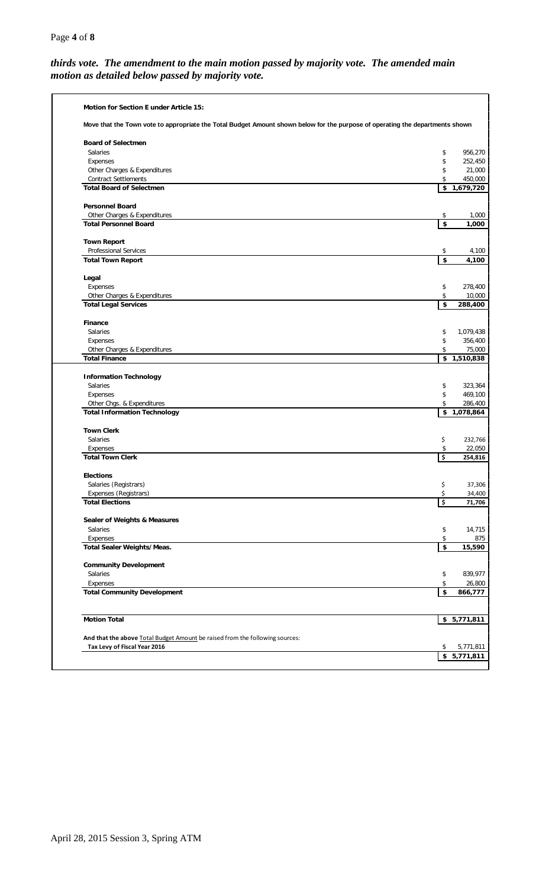# *thirds vote. The amendment to the main motion passed by majority vote. The amended main motion as detailed below passed by majority vote.*

| Move that the Town vote to appropriate the Total Budget Amount shown below for the purpose of operating the departments shown |          |                           |
|-------------------------------------------------------------------------------------------------------------------------------|----------|---------------------------|
| <b>Board of Selectmen</b>                                                                                                     |          |                           |
| Salaries                                                                                                                      | \$       | 956,270                   |
| Expenses                                                                                                                      | \$       | 252,450                   |
| Other Charges & Expenditures                                                                                                  | \$       | 21,000                    |
| <b>Contract Settlements</b>                                                                                                   | \$       | 450,000                   |
| <b>Total Board of Selectmen</b>                                                                                               |          | $\overline{1,679,720}$    |
| <b>Personnel Board</b>                                                                                                        |          |                           |
| Other Charges & Expenditures                                                                                                  | \$       | 1,000                     |
| <b>Total Personnel Board</b>                                                                                                  | \$       | 1,000                     |
| <b>Town Report</b>                                                                                                            |          |                           |
| <b>Professional Services</b>                                                                                                  | \$       | 4,100                     |
| <b>Total Town Report</b>                                                                                                      | \$       | 4,100                     |
| Legal                                                                                                                         |          |                           |
| Expenses                                                                                                                      | \$       | 278,400                   |
| Other Charges & Expenditures                                                                                                  | \$       | 10,000                    |
| <b>Total Legal Services</b>                                                                                                   | \$       | 288,400                   |
| <b>Finance</b>                                                                                                                |          |                           |
| Salaries                                                                                                                      | \$       | 1,079,438                 |
| Expenses                                                                                                                      | \$       | 356,400                   |
| Other Charges & Expenditures                                                                                                  | \$       | 75,000                    |
| <b>Total Finance</b>                                                                                                          | \$       | $\overline{1,}510,838$    |
| <b>Information Technology</b>                                                                                                 |          |                           |
| Salaries                                                                                                                      | \$       | 323,364                   |
| Expenses                                                                                                                      | \$       | 469,100                   |
| Other Chgs. & Expenditures                                                                                                    | \$       | 286,400                   |
| <b>Total Information Technology</b>                                                                                           |          | $\overline{\$}$ 1,078,864 |
| <b>Town Clerk</b>                                                                                                             |          |                           |
| Salaries                                                                                                                      | \$       | 232,766                   |
| Expenses                                                                                                                      | \$       | 22,050                    |
| <b>Total Town Clerk</b>                                                                                                       | \$       | 254,816                   |
| <b>Elections</b>                                                                                                              |          |                           |
| Salaries (Registrars)                                                                                                         | \$       | 37,306                    |
| Expenses (Registrars)<br><b>Total Elections</b>                                                                               | \$<br>\$ | 34,400<br>71,706          |
|                                                                                                                               |          |                           |
| <b>Sealer of Weights &amp; Measures</b>                                                                                       |          |                           |
| Salaries                                                                                                                      | \$       | 14,715                    |
| Expenses                                                                                                                      | \$       |                           |
| Total Sealer Weights/Meas.                                                                                                    | \$       | 15,590                    |
| <b>Community Development</b>                                                                                                  |          |                           |
| Salaries                                                                                                                      | \$       | 839,977                   |
| Expenses                                                                                                                      | \$       | 26,800                    |
| <b>Total Community Development</b>                                                                                            | \$       | 866,777                   |
|                                                                                                                               |          |                           |
| <b>Motion Total</b>                                                                                                           |          | \$5,771,811               |
| And that the above Total Budget Amount be raised from the following sources:                                                  |          |                           |
| Tax Levy of Fiscal Year 2016                                                                                                  | \$       | 5,771,811                 |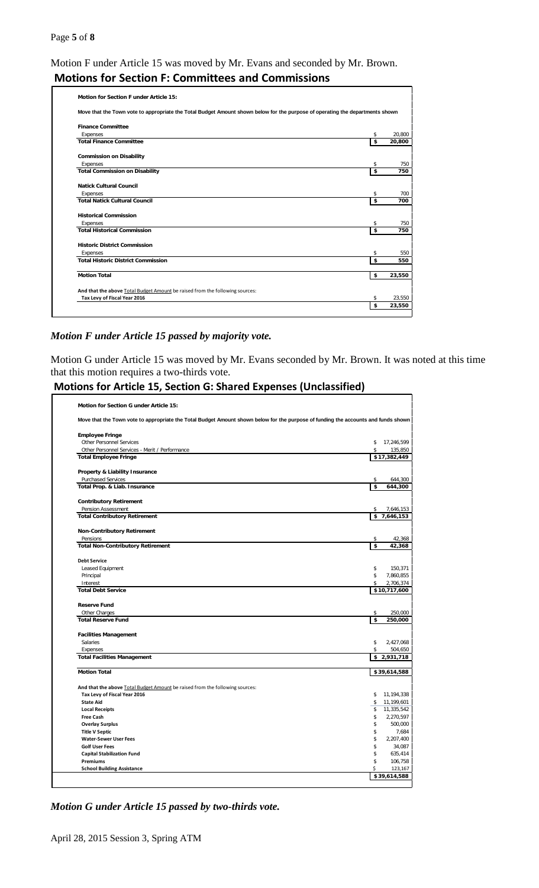# Motion F under Article 15 was moved by Mr. Evans and seconded by Mr. Brown. **Motions for Section F: Committees and Commissions**

| <b>Motion for Section F under Article 15:</b>                                                                                 |          |        |
|-------------------------------------------------------------------------------------------------------------------------------|----------|--------|
| Move that the Town vote to appropriate the Total Budget Amount shown below for the purpose of operating the departments shown |          |        |
| <b>Finance Committee</b>                                                                                                      |          |        |
| Expenses                                                                                                                      | \$       | 20,800 |
| <b>Total Finance Committee</b>                                                                                                | \$       | 20,800 |
| <b>Commission on Disability</b>                                                                                               |          |        |
| Expenses                                                                                                                      | \$       | 750    |
| <b>Total Commission on Disability</b>                                                                                         | \$       | 750    |
| <b>Natick Cultural Council</b>                                                                                                |          |        |
| Expenses                                                                                                                      | \$       | 700    |
| <b>Total Natick Cultural Council</b>                                                                                          | \$       | 700    |
| <b>Historical Commission</b>                                                                                                  |          |        |
| Expenses                                                                                                                      | \$       | 750    |
| <b>Total Historical Commission</b>                                                                                            | \$       | 750    |
| <b>Historic District Commission</b>                                                                                           |          |        |
| Expenses                                                                                                                      | \$       | 550    |
| <b>Total Historic District Commission</b>                                                                                     | \$       | 550    |
| <b>Motion Total</b>                                                                                                           | \$       | 23,550 |
| And that the above Total Budget Amount be raised from the following sources:                                                  |          |        |
| Tax Levy of Fiscal Year 2016                                                                                                  |          | 23,550 |
|                                                                                                                               | \$<br>\$ | 23,550 |

## *Motion F under Article 15 passed by majority vote.*

Motion G under Article 15 was moved by Mr. Evans seconded by Mr. Brown. It was noted at this time that this motion requires a two-thirds vote.

# **Motions for Article 15, Section G: Shared Expenses (Unclassified)**

| Move that the Town vote to appropriate the Total Budget Amount shown below for the purpose of funding the accounts and funds shown<br><b>Other Personnel Services</b><br>\$<br>17,246,599<br>\$<br>Other Personnel Services - Merit / Performance<br>135,850<br>\$17,382,449<br><b>Purchased Services</b><br>\$<br>644,300<br>\$<br>644,300<br>Pension Assessment<br>\$<br>7,646,153<br>\$7,646,153<br><b>Non-Contributory Retirement</b><br>Pensions<br>\$<br>42,368<br>\$<br>42,368<br>\$<br>Leased Equipment<br>150,371<br>\$<br>Principal<br>7,860,855<br>Interest<br>\$<br>2,706,374<br>\$10,717,600<br>Other Charges<br>\$<br>250,000<br>\$<br>250,000<br><b>Salaries</b><br>\$<br>2,427,068<br>Expenses<br>\$<br>504,650<br>\$2,931,718<br>\$39,614,588<br>And that the above Total Budget Amount be raised from the following sources:<br>Tax Levy of Fiscal Year 2016<br>\$<br>11,194,338<br>\$ 11,199,601<br><b>State Aid</b><br>\$ 11,335,542<br><b>Local Receipts</b><br>2,270,597<br><b>Free Cash</b><br>\$<br>\$<br>500,000<br><b>Overlay Surplus</b><br>\$<br><b>Title V Septic</b><br>7,684<br>\$<br>2,207,400<br><b>Water-Sewer User Fees</b><br>\$<br>34,087<br><b>Golf User Fees</b><br>\$<br>635,414<br><b>Capital Stabilization Fund</b><br>\$<br>106,758<br>Premiums<br>\$<br>123,167<br><b>School Building Assistance</b><br>\$39,614,588 | <b>Motion for Section G under Article 15:</b> |  |
|------------------------------------------------------------------------------------------------------------------------------------------------------------------------------------------------------------------------------------------------------------------------------------------------------------------------------------------------------------------------------------------------------------------------------------------------------------------------------------------------------------------------------------------------------------------------------------------------------------------------------------------------------------------------------------------------------------------------------------------------------------------------------------------------------------------------------------------------------------------------------------------------------------------------------------------------------------------------------------------------------------------------------------------------------------------------------------------------------------------------------------------------------------------------------------------------------------------------------------------------------------------------------------------------------------------------------------------------------------------|-----------------------------------------------|--|
|                                                                                                                                                                                                                                                                                                                                                                                                                                                                                                                                                                                                                                                                                                                                                                                                                                                                                                                                                                                                                                                                                                                                                                                                                                                                                                                                                                  |                                               |  |
|                                                                                                                                                                                                                                                                                                                                                                                                                                                                                                                                                                                                                                                                                                                                                                                                                                                                                                                                                                                                                                                                                                                                                                                                                                                                                                                                                                  | <b>Employee Fringe</b>                        |  |
|                                                                                                                                                                                                                                                                                                                                                                                                                                                                                                                                                                                                                                                                                                                                                                                                                                                                                                                                                                                                                                                                                                                                                                                                                                                                                                                                                                  |                                               |  |
|                                                                                                                                                                                                                                                                                                                                                                                                                                                                                                                                                                                                                                                                                                                                                                                                                                                                                                                                                                                                                                                                                                                                                                                                                                                                                                                                                                  |                                               |  |
|                                                                                                                                                                                                                                                                                                                                                                                                                                                                                                                                                                                                                                                                                                                                                                                                                                                                                                                                                                                                                                                                                                                                                                                                                                                                                                                                                                  | <b>Total Employee Fringe</b>                  |  |
|                                                                                                                                                                                                                                                                                                                                                                                                                                                                                                                                                                                                                                                                                                                                                                                                                                                                                                                                                                                                                                                                                                                                                                                                                                                                                                                                                                  | Property & Liability Insurance                |  |
|                                                                                                                                                                                                                                                                                                                                                                                                                                                                                                                                                                                                                                                                                                                                                                                                                                                                                                                                                                                                                                                                                                                                                                                                                                                                                                                                                                  |                                               |  |
|                                                                                                                                                                                                                                                                                                                                                                                                                                                                                                                                                                                                                                                                                                                                                                                                                                                                                                                                                                                                                                                                                                                                                                                                                                                                                                                                                                  | Total Prop. & Liab. Insurance                 |  |
|                                                                                                                                                                                                                                                                                                                                                                                                                                                                                                                                                                                                                                                                                                                                                                                                                                                                                                                                                                                                                                                                                                                                                                                                                                                                                                                                                                  | <b>Contributory Retirement</b>                |  |
|                                                                                                                                                                                                                                                                                                                                                                                                                                                                                                                                                                                                                                                                                                                                                                                                                                                                                                                                                                                                                                                                                                                                                                                                                                                                                                                                                                  |                                               |  |
|                                                                                                                                                                                                                                                                                                                                                                                                                                                                                                                                                                                                                                                                                                                                                                                                                                                                                                                                                                                                                                                                                                                                                                                                                                                                                                                                                                  | <b>Total Contributory Retirement</b>          |  |
|                                                                                                                                                                                                                                                                                                                                                                                                                                                                                                                                                                                                                                                                                                                                                                                                                                                                                                                                                                                                                                                                                                                                                                                                                                                                                                                                                                  |                                               |  |
|                                                                                                                                                                                                                                                                                                                                                                                                                                                                                                                                                                                                                                                                                                                                                                                                                                                                                                                                                                                                                                                                                                                                                                                                                                                                                                                                                                  |                                               |  |
|                                                                                                                                                                                                                                                                                                                                                                                                                                                                                                                                                                                                                                                                                                                                                                                                                                                                                                                                                                                                                                                                                                                                                                                                                                                                                                                                                                  | <b>Total Non-Contributory Retirement</b>      |  |
|                                                                                                                                                                                                                                                                                                                                                                                                                                                                                                                                                                                                                                                                                                                                                                                                                                                                                                                                                                                                                                                                                                                                                                                                                                                                                                                                                                  | <b>Debt Service</b>                           |  |
|                                                                                                                                                                                                                                                                                                                                                                                                                                                                                                                                                                                                                                                                                                                                                                                                                                                                                                                                                                                                                                                                                                                                                                                                                                                                                                                                                                  |                                               |  |
|                                                                                                                                                                                                                                                                                                                                                                                                                                                                                                                                                                                                                                                                                                                                                                                                                                                                                                                                                                                                                                                                                                                                                                                                                                                                                                                                                                  |                                               |  |
|                                                                                                                                                                                                                                                                                                                                                                                                                                                                                                                                                                                                                                                                                                                                                                                                                                                                                                                                                                                                                                                                                                                                                                                                                                                                                                                                                                  |                                               |  |
|                                                                                                                                                                                                                                                                                                                                                                                                                                                                                                                                                                                                                                                                                                                                                                                                                                                                                                                                                                                                                                                                                                                                                                                                                                                                                                                                                                  | <b>Total Debt Service</b>                     |  |
|                                                                                                                                                                                                                                                                                                                                                                                                                                                                                                                                                                                                                                                                                                                                                                                                                                                                                                                                                                                                                                                                                                                                                                                                                                                                                                                                                                  |                                               |  |
|                                                                                                                                                                                                                                                                                                                                                                                                                                                                                                                                                                                                                                                                                                                                                                                                                                                                                                                                                                                                                                                                                                                                                                                                                                                                                                                                                                  | <b>Reserve Fund</b>                           |  |
|                                                                                                                                                                                                                                                                                                                                                                                                                                                                                                                                                                                                                                                                                                                                                                                                                                                                                                                                                                                                                                                                                                                                                                                                                                                                                                                                                                  |                                               |  |
|                                                                                                                                                                                                                                                                                                                                                                                                                                                                                                                                                                                                                                                                                                                                                                                                                                                                                                                                                                                                                                                                                                                                                                                                                                                                                                                                                                  | <b>Total Reserve Fund</b>                     |  |
|                                                                                                                                                                                                                                                                                                                                                                                                                                                                                                                                                                                                                                                                                                                                                                                                                                                                                                                                                                                                                                                                                                                                                                                                                                                                                                                                                                  | <b>Facilities Management</b>                  |  |
|                                                                                                                                                                                                                                                                                                                                                                                                                                                                                                                                                                                                                                                                                                                                                                                                                                                                                                                                                                                                                                                                                                                                                                                                                                                                                                                                                                  |                                               |  |
|                                                                                                                                                                                                                                                                                                                                                                                                                                                                                                                                                                                                                                                                                                                                                                                                                                                                                                                                                                                                                                                                                                                                                                                                                                                                                                                                                                  |                                               |  |
|                                                                                                                                                                                                                                                                                                                                                                                                                                                                                                                                                                                                                                                                                                                                                                                                                                                                                                                                                                                                                                                                                                                                                                                                                                                                                                                                                                  | <b>Total Facilities Management</b>            |  |
|                                                                                                                                                                                                                                                                                                                                                                                                                                                                                                                                                                                                                                                                                                                                                                                                                                                                                                                                                                                                                                                                                                                                                                                                                                                                                                                                                                  | <b>Motion Total</b>                           |  |
|                                                                                                                                                                                                                                                                                                                                                                                                                                                                                                                                                                                                                                                                                                                                                                                                                                                                                                                                                                                                                                                                                                                                                                                                                                                                                                                                                                  |                                               |  |
|                                                                                                                                                                                                                                                                                                                                                                                                                                                                                                                                                                                                                                                                                                                                                                                                                                                                                                                                                                                                                                                                                                                                                                                                                                                                                                                                                                  |                                               |  |
|                                                                                                                                                                                                                                                                                                                                                                                                                                                                                                                                                                                                                                                                                                                                                                                                                                                                                                                                                                                                                                                                                                                                                                                                                                                                                                                                                                  |                                               |  |
|                                                                                                                                                                                                                                                                                                                                                                                                                                                                                                                                                                                                                                                                                                                                                                                                                                                                                                                                                                                                                                                                                                                                                                                                                                                                                                                                                                  |                                               |  |
|                                                                                                                                                                                                                                                                                                                                                                                                                                                                                                                                                                                                                                                                                                                                                                                                                                                                                                                                                                                                                                                                                                                                                                                                                                                                                                                                                                  |                                               |  |
|                                                                                                                                                                                                                                                                                                                                                                                                                                                                                                                                                                                                                                                                                                                                                                                                                                                                                                                                                                                                                                                                                                                                                                                                                                                                                                                                                                  |                                               |  |
|                                                                                                                                                                                                                                                                                                                                                                                                                                                                                                                                                                                                                                                                                                                                                                                                                                                                                                                                                                                                                                                                                                                                                                                                                                                                                                                                                                  |                                               |  |
|                                                                                                                                                                                                                                                                                                                                                                                                                                                                                                                                                                                                                                                                                                                                                                                                                                                                                                                                                                                                                                                                                                                                                                                                                                                                                                                                                                  |                                               |  |
|                                                                                                                                                                                                                                                                                                                                                                                                                                                                                                                                                                                                                                                                                                                                                                                                                                                                                                                                                                                                                                                                                                                                                                                                                                                                                                                                                                  |                                               |  |
|                                                                                                                                                                                                                                                                                                                                                                                                                                                                                                                                                                                                                                                                                                                                                                                                                                                                                                                                                                                                                                                                                                                                                                                                                                                                                                                                                                  |                                               |  |
|                                                                                                                                                                                                                                                                                                                                                                                                                                                                                                                                                                                                                                                                                                                                                                                                                                                                                                                                                                                                                                                                                                                                                                                                                                                                                                                                                                  |                                               |  |
|                                                                                                                                                                                                                                                                                                                                                                                                                                                                                                                                                                                                                                                                                                                                                                                                                                                                                                                                                                                                                                                                                                                                                                                                                                                                                                                                                                  |                                               |  |
|                                                                                                                                                                                                                                                                                                                                                                                                                                                                                                                                                                                                                                                                                                                                                                                                                                                                                                                                                                                                                                                                                                                                                                                                                                                                                                                                                                  |                                               |  |

*Motion G under Article 15 passed by two-thirds vote.*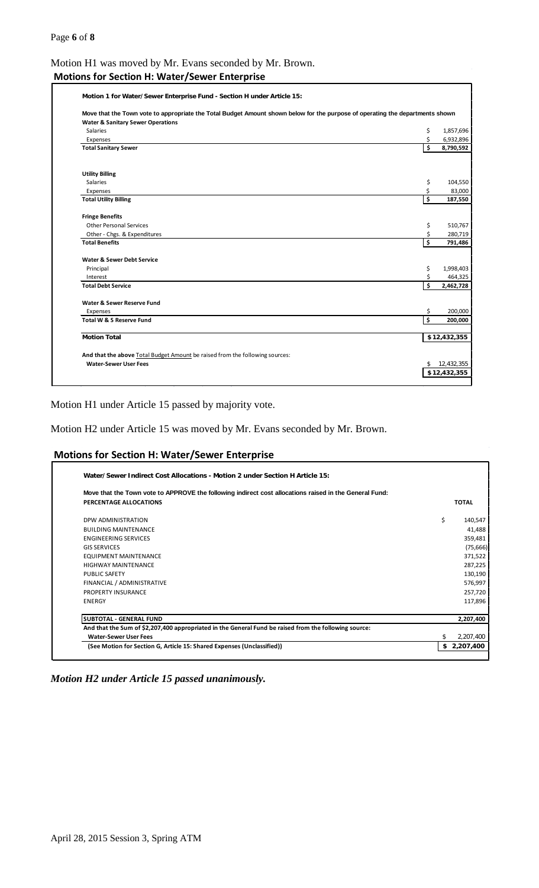# Motion H1 was moved by Mr. Evans seconded by Mr. Brown. **Motions for Section H: Water/Sewer Enterprise**

| Motion 1 for Water/Sewer Enterprise Fund - Section H under Article 15: |  |
|------------------------------------------------------------------------|--|

| <b>Salaries</b>                                                              | \$<br>1,857,696  |
|------------------------------------------------------------------------------|------------------|
| Expenses                                                                     | \$<br>6,932,896  |
| <b>Total Sanitary Sewer</b>                                                  | \$<br>8,790,592  |
| <b>Utility Billing</b>                                                       |                  |
| <b>Salaries</b>                                                              | \$<br>104,550    |
| Expenses                                                                     | \$<br>83,000     |
| <b>Total Utility Billing</b>                                                 | \$<br>187,550    |
| <b>Fringe Benefits</b>                                                       |                  |
| <b>Other Personal Services</b>                                               | \$<br>510,767    |
| Other - Chgs. & Expenditures                                                 | \$<br>280,719    |
| <b>Total Benefits</b>                                                        | \$<br>791,486    |
| Water & Sewer Debt Service                                                   |                  |
| Principal                                                                    | \$<br>1,998,403  |
| Interest                                                                     | \$<br>464,325    |
| <b>Total Debt Service</b>                                                    | \$<br>2,462,728  |
| <b>Water &amp; Sewer Reserve Fund</b>                                        |                  |
| Expenses                                                                     | \$<br>200,000    |
| Total W & S Reserve Fund                                                     | \$<br>200,000    |
| <b>Motion Total</b>                                                          | \$12,432,355     |
| And that the above Total Budget Amount be raised from the following sources: |                  |
| <b>Water-Sewer User Fees</b>                                                 | \$<br>12,432,355 |

Motion H1 under Article 15 passed by majority vote.

Motion H2 under Article 15 was moved by Mr. Evans seconded by Mr. Brown.

#### **Motions for Section H: Water/Sewer Enterprise**

| Move that the Town vote to APPROVE the following indirect cost allocations raised in the General Fund:<br>PERCENTAGE ALLOCATIONS | <b>TOTAL</b>    |
|----------------------------------------------------------------------------------------------------------------------------------|-----------------|
|                                                                                                                                  |                 |
| DPW ADMINISTRATION                                                                                                               | \$<br>140,547   |
| <b>BUILDING MAINTENANCE</b>                                                                                                      | 41,488          |
| <b>ENGINEERING SERVICES</b>                                                                                                      | 359,481         |
| <b>GIS SERVICES</b>                                                                                                              | (75,666)        |
| <b>EQUIPMENT MAINTENANCE</b>                                                                                                     | 371,522         |
| <b>HIGHWAY MAINTENANCE</b>                                                                                                       | 287,225         |
| <b>PUBLIC SAFETY</b>                                                                                                             | 130,190         |
| FINANCIAL / ADMINISTRATIVE                                                                                                       | 576,997         |
| PROPERTY INSURANCE                                                                                                               | 257,720         |
| ENERGY                                                                                                                           | 117,896         |
| <b>SUBTOTAL - GENERAL FUND</b>                                                                                                   | 2,207,400       |
| And that the Sum of \$2,207,400 appropriated in the General Fund be raised from the following source:                            |                 |
| <b>Water-Sewer User Fees</b>                                                                                                     | \$<br>2,207,400 |

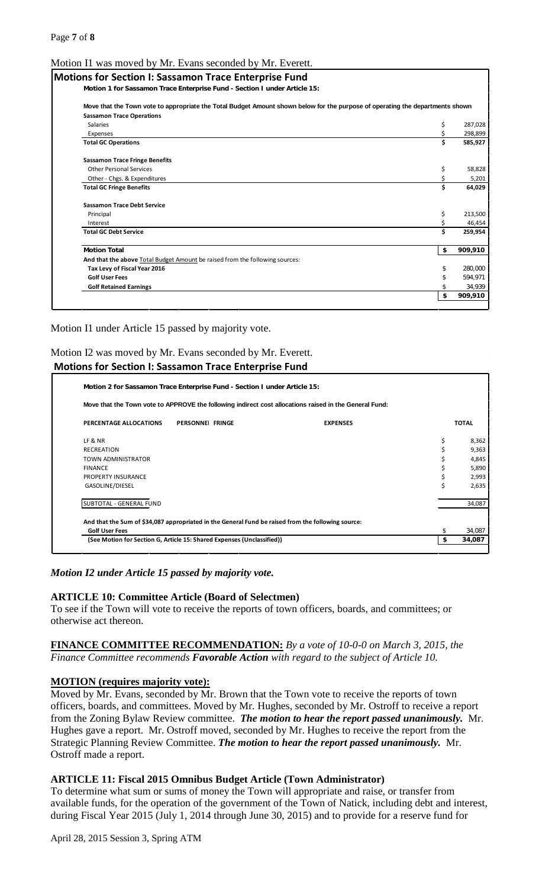#### Motion I1 was moved by Mr. Evans seconded by Mr. Everett.

| <b>Motions for Section I: Sassamon Trace Enterprise Fund</b><br>Motion 1 for Sassamon Trace Enterprise Fund - Section I under Article 15: |    |         |
|-------------------------------------------------------------------------------------------------------------------------------------------|----|---------|
|                                                                                                                                           |    |         |
| Move that the Town vote to appropriate the Total Budget Amount shown below for the purpose of operating the departments shown             |    |         |
| <b>Sassamon Trace Operations</b>                                                                                                          |    |         |
| <b>Salaries</b>                                                                                                                           | \$ |         |
| Expenses                                                                                                                                  | \$ |         |
| <b>Total GC Operations</b>                                                                                                                | Ś. | 585,927 |
| <b>Sassamon Trace Fringe Benefits</b>                                                                                                     |    |         |
| <b>Other Personal Services</b>                                                                                                            | \$ |         |
| Other - Chgs. & Expenditures                                                                                                              | \$ |         |
| <b>Total GC Fringe Benefits</b>                                                                                                           | Ś. |         |
| <b>Sassamon Trace Debt Service</b>                                                                                                        |    |         |
| Principal                                                                                                                                 | \$ |         |
| Interest                                                                                                                                  |    |         |
| <b>Total GC Debt Service</b>                                                                                                              | \$ |         |
| <b>Motion Total</b>                                                                                                                       | \$ | 909,910 |
| And that the above Total Budget Amount be raised from the following sources:                                                              |    |         |
| Tax Levy of Fiscal Year 2016                                                                                                              | \$ |         |
| <b>Golf User Fees</b>                                                                                                                     | \$ |         |
| <b>Golf Retained Earnings</b>                                                                                                             | \$ |         |
|                                                                                                                                           | \$ | 909,910 |

Motion I1 under Article 15 passed by majority vote.

#### Motion I2 was moved by Mr. Evans seconded by Mr. Everett.

|                           | <b>Motions for Section I: Sassamon Trace Enterprise Fund</b>                                       |                                                                                                        |              |
|---------------------------|----------------------------------------------------------------------------------------------------|--------------------------------------------------------------------------------------------------------|--------------|
|                           | Motion 2 for Sassamon Trace Enterprise Fund - Section I under Article 15:                          |                                                                                                        |              |
|                           |                                                                                                    | Move that the Town vote to APPROVE the following indirect cost allocations raised in the General Fund: |              |
| PERCENTAGE ALLOCATIONS    | PERSONNEL FRINGE                                                                                   | <b>EXPENSES</b>                                                                                        | <b>TOTAL</b> |
| LF & NR                   |                                                                                                    |                                                                                                        | \$<br>8,362  |
| <b>RECREATION</b>         |                                                                                                    |                                                                                                        | \$<br>9,363  |
| <b>TOWN ADMINISTRATOR</b> |                                                                                                    |                                                                                                        | \$<br>4,845  |
| <b>FINANCE</b>            |                                                                                                    |                                                                                                        | \$<br>5,890  |
| <b>PROPERTY INSURANCE</b> |                                                                                                    |                                                                                                        | \$<br>2,993  |
| GASOLINE/DIESEL           |                                                                                                    |                                                                                                        | \$<br>2,635  |
| SUBTOTAL - GENERAL FUND   |                                                                                                    |                                                                                                        | 34,087       |
|                           | And that the Sum of \$34,087 appropriated in the General Fund be raised from the following source: |                                                                                                        |              |
| <b>Golf User Fees</b>     |                                                                                                    |                                                                                                        | 34,087       |
|                           | (See Motion for Section G, Article 15: Shared Expenses (Unclassified))                             |                                                                                                        | 34,087       |

#### *Motion I2 under Article 15 passed by majority vote.*

#### **ARTICLE 10: Committee Article (Board of Selectmen)**

To see if the Town will vote to receive the reports of town officers, boards, and committees; or otherwise act thereon.

**FINANCE COMMITTEE RECOMMENDATION:** *By a vote of 10-0-0 on March 3, 2015, the Finance Committee recommends Favorable Action with regard to the subject of Article 10.*

#### **MOTION (requires majority vote):**

Moved by Mr. Evans, seconded by Mr. Brown that the Town vote to receive the reports of town officers, boards, and committees. Moved by Mr. Hughes, seconded by Mr. Ostroff to receive a report from the Zoning Bylaw Review committee. *The motion to hear the report passed unanimously.* Mr. Hughes gave a report. Mr. Ostroff moved, seconded by Mr. Hughes to receive the report from the Strategic Planning Review Committee. *The motion to hear the report passed unanimously.* Mr. Ostroff made a report.

#### **ARTICLE 11: Fiscal 2015 Omnibus Budget Article (Town Administrator)**

To determine what sum or sums of money the Town will appropriate and raise, or transfer from available funds, for the operation of the government of the Town of Natick, including debt and interest, during Fiscal Year 2015 (July 1, 2014 through June 30, 2015) and to provide for a reserve fund for